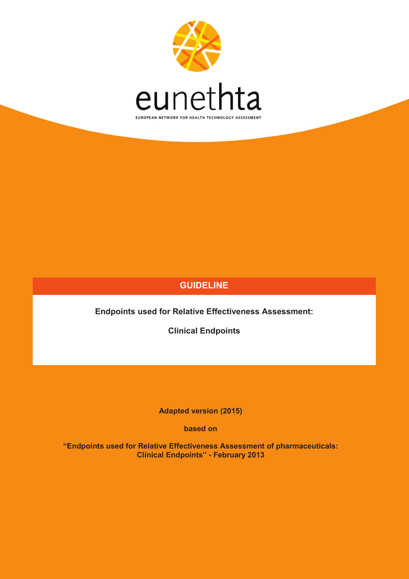

## **GUIDELINE**

**Endpoints used for Relative Effectiveness Assessment:** 

**Clinical Endpoints**

**Adapted version (2015)** 

**based on**

**"Endpoints used for Relative Effectiveness Assessment of pharmaceuticals: Clinical Endpoints" - February 2013**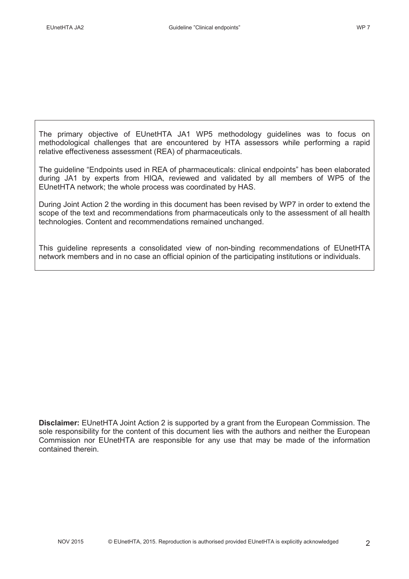The primary objective of EUnetHTA JA1 WP5 methodology guidelines was to focus on methodological challenges that are encountered by HTA assessors while performing a rapid relative effectiveness assessment (REA) of pharmaceuticals.

The guideline "Endpoints used in REA of pharmaceuticals: clinical endpoints" has been elaborated during JA1 by experts from HIQA, reviewed and validated by all members of WP5 of the EUnetHTA network; the whole process was coordinated by HAS.

During Joint Action 2 the wording in this document has been revised by WP7 in order to extend the scope of the text and recommendations from pharmaceuticals only to the assessment of all health technologies. Content and recommendations remained unchanged.

This guideline represents a consolidated view of non-binding recommendations of EUnetHTA network members and in no case an official opinion of the participating institutions or individuals.

**Disclaimer:** EUnetHTA Joint Action 2 is supported by a grant from the European Commission. The sole responsibility for the content of this document lies with the authors and neither the European Commission nor EUnetHTA are responsible for any use that may be made of the information contained therein.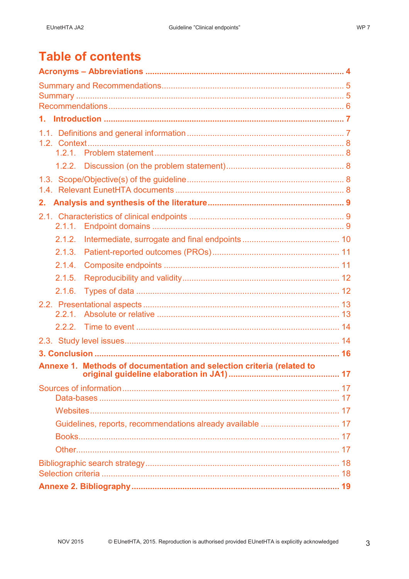| 2.     |                                                                       |  |
|--------|-----------------------------------------------------------------------|--|
|        |                                                                       |  |
| 2.1.1. |                                                                       |  |
| 2.1.2. |                                                                       |  |
| 2.1.3. |                                                                       |  |
| 2.1.4. |                                                                       |  |
| 2.1.5. |                                                                       |  |
| 2.1.6. |                                                                       |  |
|        |                                                                       |  |
|        |                                                                       |  |
|        |                                                                       |  |
|        |                                                                       |  |
|        |                                                                       |  |
|        | Annexe 1. Methods of documentation and selection criteria (related to |  |
|        |                                                                       |  |
|        |                                                                       |  |
|        |                                                                       |  |
|        |                                                                       |  |
|        |                                                                       |  |
|        |                                                                       |  |
|        |                                                                       |  |
|        |                                                                       |  |
|        |                                                                       |  |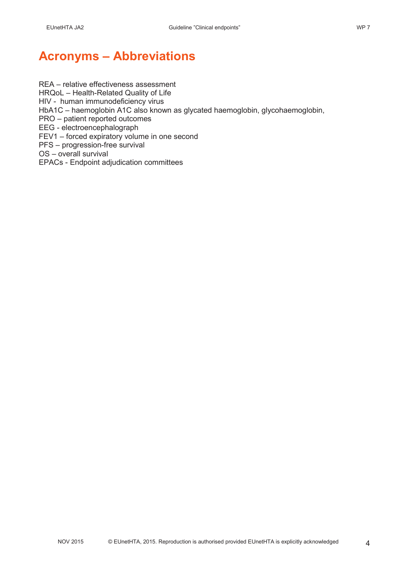# **Acronyms – Abbreviations**

REA – relative effectiveness assessment HRQoL – Health-Related Quality of Life HIV - human immunodeficiency virus HbA1C – haemoglobin A1C also known as glycated haemoglobin, glycohaemoglobin, PRO – patient reported outcomes EEG - electroencephalograph FEV1 – forced expiratory volume in one second PFS – progression-free survival OS – overall survival EPACs - Endpoint adjudication committees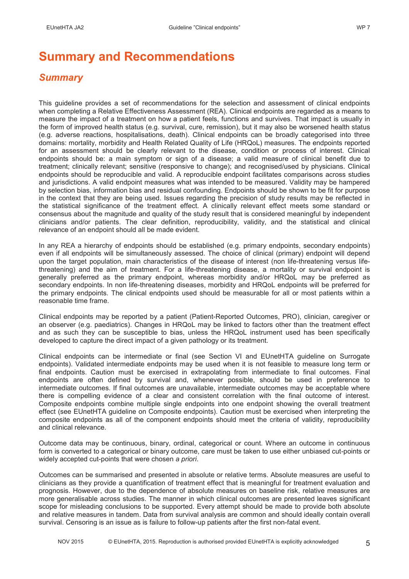# **Summary and Recommendations**

## *Summary*

This guideline provides a set of recommendations for the selection and assessment of clinical endpoints when completing a Relative Effectiveness Assessment (REA). Clinical endpoints are regarded as a means to measure the impact of a treatment on how a patient feels, functions and survives. That impact is usually in the form of improved health status (e.g. survival, cure, remission), but it may also be worsened health status (e.g. adverse reactions, hospitalisations, death). Clinical endpoints can be broadly categorised into three domains: mortality, morbidity and Health Related Quality of Life (HRQoL) measures. The endpoints reported for an assessment should be clearly relevant to the disease, condition or process of interest. Clinical endpoints should be: a main symptom or sign of a disease; a valid measure of clinical benefit due to treatment; clinically relevant; sensitive (responsive to change); and recognised/used by physicians. Clinical endpoints should be reproducible and valid. A reproducible endpoint facilitates comparisons across studies and jurisdictions. A valid endpoint measures what was intended to be measured. Validity may be hampered by selection bias, information bias and residual confounding. Endpoints should be shown to be fit for purpose in the context that they are being used. Issues regarding the precision of study results may be reflected in the statistical significance of the treatment effect. A clinically relevant effect meets some standard or consensus about the magnitude and quality of the study result that is considered meaningful by independent clinicians and/or patients. The clear definition, reproducibility, validity, and the statistical and clinical relevance of an endpoint should all be made evident.

In any REA a hierarchy of endpoints should be established (e.g. primary endpoints, secondary endpoints) even if all endpoints will be simultaneously assessed. The choice of clinical (primary) endpoint will depend upon the target population, main characteristics of the disease of interest (non life-threatening versus lifethreatening) and the aim of treatment. For a life-threatening disease, a mortality or survival endpoint is generally preferred as the primary endpoint, whereas morbidity and/or HRQoL may be preferred as secondary endpoints. In non life-threatening diseases, morbidity and HRQoL endpoints will be preferred for the primary endpoints. The clinical endpoints used should be measurable for all or most patients within a reasonable time frame.

Clinical endpoints may be reported by a patient (Patient-Reported Outcomes, PRO), clinician, caregiver or an observer (e.g. paediatrics). Changes in HRQoL may be linked to factors other than the treatment effect and as such they can be susceptible to bias, unless the HRQoL instrument used has been specifically developed to capture the direct impact of a given pathology or its treatment.

Clinical endpoints can be intermediate or final (see Section VI and EUnetHTA guideline on Surrogate endpoints). Validated intermediate endpoints may be used when it is not feasible to measure long term or final endpoints. Caution must be exercised in extrapolating from intermediate to final outcomes. Final endpoints are often defined by survival and, whenever possible, should be used in preference to intermediate outcomes. If final outcomes are unavailable, intermediate outcomes may be acceptable where there is compelling evidence of a clear and consistent correlation with the final outcome of interest. Composite endpoints combine multiple single endpoints into one endpoint showing the overall treatment effect (see EUnetHTA guideline on Composite endpoints). Caution must be exercised when interpreting the composite endpoints as all of the component endpoints should meet the criteria of validity, reproducibility and clinical relevance.

Outcome data may be continuous, binary, ordinal, categorical or count. Where an outcome in continuous form is converted to a categorical or binary outcome, care must be taken to use either unbiased cut-points or widely accepted cut-points that were chosen *a priori*.

Outcomes can be summarised and presented in absolute or relative terms. Absolute measures are useful to clinicians as they provide a quantification of treatment effect that is meaningful for treatment evaluation and prognosis. However, due to the dependence of absolute measures on baseline risk, relative measures are more generalisable across studies. The manner in which clinical outcomes are presented leaves significant scope for misleading conclusions to be supported. Every attempt should be made to provide both absolute and relative measures in tandem. Data from survival analysis are common and should ideally contain overall survival. Censoring is an issue as is failure to follow-up patients after the first non-fatal event.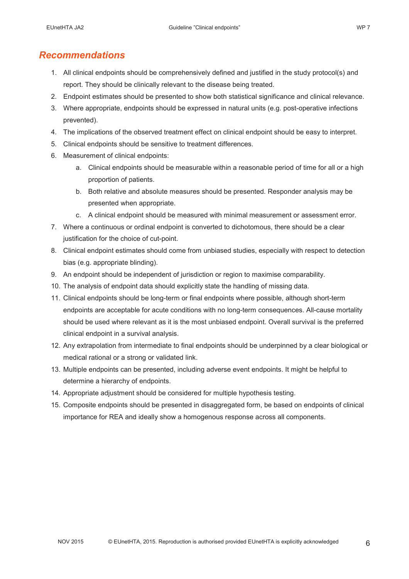## *Recommendations*

- 1. All clinical endpoints should be comprehensively defined and justified in the study protocol(s) and report. They should be clinically relevant to the disease being treated.
- 2. Endpoint estimates should be presented to show both statistical significance and clinical relevance.
- 3. Where appropriate, endpoints should be expressed in natural units (e.g. post-operative infections prevented).
- 4. The implications of the observed treatment effect on clinical endpoint should be easy to interpret.
- 5. Clinical endpoints should be sensitive to treatment differences.
- 6. Measurement of clinical endpoints:
	- a. Clinical endpoints should be measurable within a reasonable period of time for all or a high proportion of patients.
	- b. Both relative and absolute measures should be presented. Responder analysis may be presented when appropriate.
	- c. A clinical endpoint should be measured with minimal measurement or assessment error.
- 7. Where a continuous or ordinal endpoint is converted to dichotomous, there should be a clear justification for the choice of cut-point.
- 8. Clinical endpoint estimates should come from unbiased studies, especially with respect to detection bias (e.g. appropriate blinding).
- 9. An endpoint should be independent of jurisdiction or region to maximise comparability.
- 10. The analysis of endpoint data should explicitly state the handling of missing data.
- 11. Clinical endpoints should be long-term or final endpoints where possible, although short-term endpoints are acceptable for acute conditions with no long-term consequences. All-cause mortality should be used where relevant as it is the most unbiased endpoint. Overall survival is the preferred clinical endpoint in a survival analysis.
- 12. Any extrapolation from intermediate to final endpoints should be underpinned by a clear biological or medical rational or a strong or validated link.
- 13. Multiple endpoints can be presented, including adverse event endpoints. It might be helpful to determine a hierarchy of endpoints.
- 14. Appropriate adjustment should be considered for multiple hypothesis testing.
- 15. Composite endpoints should be presented in disaggregated form, be based on endpoints of clinical importance for REA and ideally show a homogenous response across all components.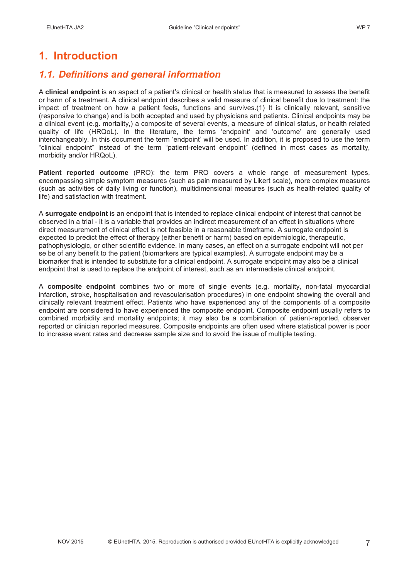# **1. Introduction**

## *1.1. Definitions and general information*

A **clinical endpoint** is an aspect of a patient's clinical or health status that is measured to assess the benefit or harm of a treatment. A clinical endpoint describes a valid measure of clinical benefit due to treatment: the impact of treatment on how a patient feels, functions and survives.(1) It is clinically relevant, sensitive (responsive to change) and is both accepted and used by physicians and patients. Clinical endpoints may be a clinical event (e.g. mortality,) a composite of several events, a measure of clinical status, or health related quality of life (HRQoL). In the literature, the terms 'endpoint' and 'outcome' are generally used interchangeably. In this document the term 'endpoint' will be used. In addition, it is proposed to use the term "clinical endpoint" instead of the term "patient-relevant endpoint" (defined in most cases as mortality, morbidity and/or HRQoL).

**Patient reported outcome** (PRO): the term PRO covers a whole range of measurement types, encompassing simple symptom measures (such as pain measured by Likert scale), more complex measures (such as activities of daily living or function), multidimensional measures (such as health-related quality of life) and satisfaction with treatment.

A **surrogate endpoint** is an endpoint that is intended to replace clinical endpoint of interest that cannot be observed in a trial - it is a variable that provides an indirect measurement of an effect in situations where direct measurement of clinical effect is not feasible in a reasonable timeframe. A surrogate endpoint is expected to predict the effect of therapy (either benefit or harm) based on epidemiologic, therapeutic, pathophysiologic, or other scientific evidence. In many cases, an effect on a surrogate endpoint will not per se be of any benefit to the patient (biomarkers are typical examples). A surrogate endpoint may be a biomarker that is intended to substitute for a clinical endpoint. A surrogate endpoint may also be a clinical endpoint that is used to replace the endpoint of interest, such as an intermediate clinical endpoint.

A **composite endpoint** combines two or more of single events (e.g. mortality, non-fatal myocardial infarction, stroke, hospitalisation and revascularisation procedures) in one endpoint showing the overall and clinically relevant treatment effect. Patients who have experienced any of the components of a composite endpoint are considered to have experienced the composite endpoint. Composite endpoint usually refers to combined morbidity and mortality endpoints; it may also be a combination of patient-reported, observer reported or clinician reported measures. Composite endpoints are often used where statistical power is poor to increase event rates and decrease sample size and to avoid the issue of multiple testing.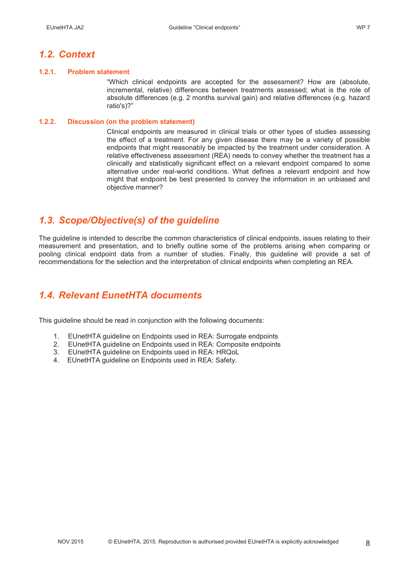## *1.2. Context*

#### **1.2.1. Problem statement**

"Which clinical endpoints are accepted for the assessment? How are (absolute, incremental, relative) differences between treatments assessed; what is the role of absolute differences (e.g. 2 months survival gain) and relative differences (e.g. hazard ratio's)?"

#### **1.2.2. Discussion (on the problem statement)**

Clinical endpoints are measured in clinical trials or other types of studies assessing the effect of a treatment. For any given disease there may be a variety of possible endpoints that might reasonably be impacted by the treatment under consideration. A relative effectiveness assessment (REA) needs to convey whether the treatment has a clinically and statistically significant effect on a relevant endpoint compared to some alternative under real-world conditions. What defines a relevant endpoint and how might that endpoint be best presented to convey the information in an unbiased and objective manner?

## *1.3. Scope/Objective(s) of the guideline*

The guideline is intended to describe the common characteristics of clinical endpoints, issues relating to their measurement and presentation, and to briefly outline some of the problems arising when comparing or pooling clinical endpoint data from a number of studies. Finally, this guideline will provide a set of recommendations for the selection and the interpretation of clinical endpoints when completing an REA.

## *1.4. Relevant EunetHTA documents*

This guideline should be read in conjunction with the following documents:

- 1. EUnetHTA guideline on Endpoints used in REA: Surrogate endpoints
- 2. EUnetHTA guideline on Endpoints used in REA: Composite endpoints
- 3. EUnetHTA guideline on Endpoints used in REA: HRQoL
- 4. EUnetHTA guideline on Endpoints used in REA: Safety.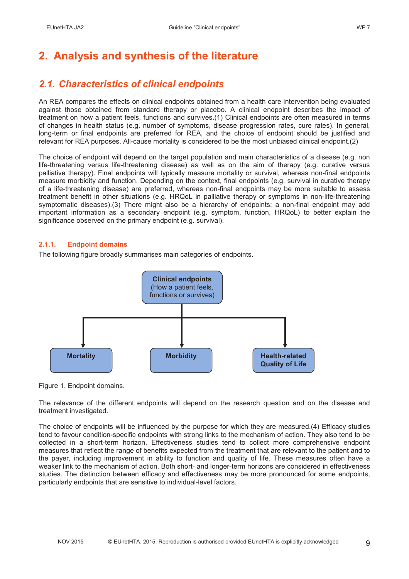# **2. Analysis and synthesis of the literature**

## *2.1. Characteristics of clinical endpoints*

An REA compares the effects on clinical endpoints obtained from a health care intervention being evaluated against those obtained from standard therapy or placebo. A clinical endpoint describes the impact of treatment on how a patient feels, functions and survives.(1) Clinical endpoints are often measured in terms of changes in health status (e.g. number of symptoms, disease progression rates, cure rates). In general, long-term or final endpoints are preferred for REA, and the choice of endpoint should be justified and relevant for REA purposes. All-cause mortality is considered to be the most unbiased clinical endpoint.(2)

The choice of endpoint will depend on the target population and main characteristics of a disease (e.g. non life-threatening versus life-threatening disease) as well as on the aim of therapy (e.g. curative versus palliative therapy). Final endpoints will typically measure mortality or survival, whereas non-final endpoints measure morbidity and function. Depending on the context, final endpoints (e.g. survival in curative therapy of a life-threatening disease) are preferred, whereas non-final endpoints may be more suitable to assess treatment benefit in other situations (e.g. HRQoL in palliative therapy or symptoms in non-life-threatening symptomatic diseases).(3) There might also be a hierarchy of endpoints: a non-final endpoint may add important information as a secondary endpoint (e.g. symptom, function, HRQoL) to better explain the significance observed on the primary endpoint (e.g. survival).

## **2.1.1. Endpoint domains**

The following figure broadly summarises main categories of endpoints.





The relevance of the different endpoints will depend on the research question and on the disease and treatment investigated.

The choice of endpoints will be influenced by the purpose for which they are measured.(4) Efficacy studies tend to favour condition-specific endpoints with strong links to the mechanism of action. They also tend to be collected in a short-term horizon. Effectiveness studies tend to collect more comprehensive endpoint measures that reflect the range of benefits expected from the treatment that are relevant to the patient and to the payer, including improvement in ability to function and quality of life. These measures often have a weaker link to the mechanism of action. Both short- and longer-term horizons are considered in effectiveness studies. The distinction between efficacy and effectiveness may be more pronounced for some endpoints, particularly endpoints that are sensitive to individual-level factors.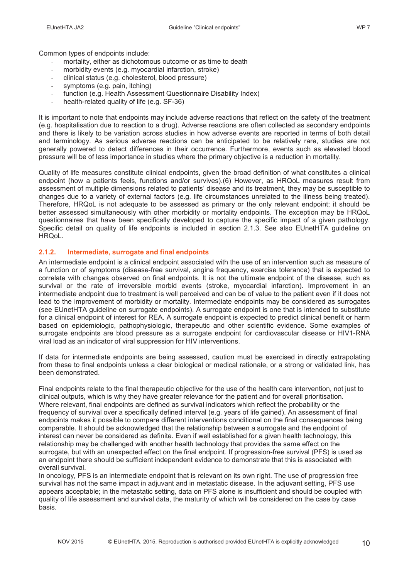Common types of endpoints include:

- mortality, either as dichotomous outcome or as time to death
- morbidity events (e.g. myocardial infarction, stroke)
- clinical status (e.g. cholesterol, blood pressure)
- symptoms (e.g. pain, itching)
- function (e.g. Health Assessment Questionnaire Disability Index)
- health-related quality of life (e.g. SF-36)

It is important to note that endpoints may include adverse reactions that reflect on the safety of the treatment (e.g. hospitalisation due to reaction to a drug). Adverse reactions are often collected as secondary endpoints and there is likely to be variation across studies in how adverse events are reported in terms of both detail and terminology. As serious adverse reactions can be anticipated to be relatively rare, studies are not generally powered to detect differences in their occurrence. Furthermore, events such as elevated blood pressure will be of less importance in studies where the primary objective is a reduction in mortality.

Quality of life measures constitute clinical endpoints, given the broad definition of what constitutes a clinical endpoint (how a patients feels, functions and/or survives).(6) However, as HRQoL measures result from assessment of multiple dimensions related to patients' disease and its treatment, they may be susceptible to changes due to a variety of external factors (e.g. life circumstances unrelated to the illness being treated). Therefore, HRQoL is not adequate to be assessed as primary or the only relevant endpoint; it should be better assessed simultaneously with other morbidity or mortality endpoints. The exception may be HRQoL questionnaires that have been specifically developed to capture the specific impact of a given pathology. Specific detail on quality of life endpoints is included in section 2.1.3. See also EUnetHTA guideline on HRQoL.

## **2.1.2. Intermediate, surrogate and final endpoints**

An intermediate endpoint is a clinical endpoint associated with the use of an intervention such as measure of a function or of symptoms (disease-free survival, angina frequency, exercise tolerance) that is expected to correlate with changes observed on final endpoints. It is not the ultimate endpoint of the disease, such as survival or the rate of irreversible morbid events (stroke, myocardial infarction). Improvement in an intermediate endpoint due to treatment is well perceived and can be of value to the patient even if it does not lead to the improvement of morbidity or mortality. Intermediate endpoints may be considered as surrogates (see EUnetHTA guideline on surrogate endpoints). A surrogate endpoint is one that is intended to substitute for a clinical endpoint of interest for REA. A surrogate endpoint is expected to predict clinical benefit or harm based on epidemiologic, pathophysiologic, therapeutic and other scientific evidence. Some examples of surrogate endpoints are blood pressure as a surrogate endpoint for cardiovascular disease or HIV1-RNA viral load as an indicator of viral suppression for HIV interventions.

If data for intermediate endpoints are being assessed, caution must be exercised in directly extrapolating from these to final endpoints unless a clear biological or medical rationale, or a strong or validated link, has been demonstrated.

Final endpoints relate to the final therapeutic objective for the use of the health care intervention, not just to clinical outputs, which is why they have greater relevance for the patient and for overall prioritisation. Where relevant, final endpoints are defined as survival indicators which reflect the probability or the frequency of survival over a specifically defined interval (e.g. years of life gained). An assessment of final endpoints makes it possible to compare different interventions conditional on the final consequences being comparable. It should be acknowledged that the relationship between a surrogate and the endpoint of interest can never be considered as definite. Even if well established for a given health technology, this relationship may be challenged with another health technology that provides the same effect on the surrogate, but with an unexpected effect on the final endpoint. If progression-free survival (PFS) is used as an endpoint there should be sufficient independent evidence to demonstrate that this is associated with overall survival.

In oncology, PFS is an intermediate endpoint that is relevant on its own right. The use of progression free survival has not the same impact in adjuvant and in metastatic disease. In the adjuvant setting, PFS use appears acceptable; in the metastatic setting, data on PFS alone is insufficient and should be coupled with quality of life assessment and survival data, the maturity of which will be considered on the case by case basis.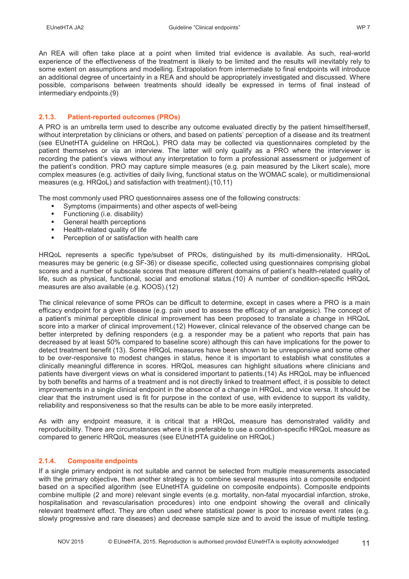An REA will often take place at a point when limited trial evidence is available. As such, real-world experience of the effectiveness of the treatment is likely to be limited and the results will inevitably rely to some extent on assumptions and modelling. Extrapolation from intermediate to final endpoints will introduce an additional degree of uncertainty in a REA and should be appropriately investigated and discussed. Where possible, comparisons between treatments should ideally be expressed in terms of final instead of intermediary endpoints.(9)

#### **2.1.3. Patient-reported outcomes (PROs)**

A PRO is an umbrella term used to describe any outcome evaluated directly by the patient himself/herself, without interpretation by clinicians or others, and based on patients' perception of a disease and its treatment (see EUnetHTA guideline on HRQoL). PRO data may be collected via questionnaires completed by the patient themselves or via an interview. The latter will only qualify as a PRO where the interviewer is recording the patient's views without any interpretation to form a professional assessment or judgement of the patient's condition. PRO may capture simple measures (e.g. pain measured by the Likert scale), more complex measures (e.g. activities of daily living, functional status on the WOMAC scale), or multidimensional measures (e.g. HRQoL) and satisfaction with treatment).(10,11)

The most commonly used PRO questionnaires assess one of the following constructs:

- Symptoms (impairments) and other aspects of well-being
- **Functioning (i.e. disability)**<br>**Example** Dealth perceptions
- General health perceptions
- **Health-related quality of life**
- Perception of or satisfaction with health care

HRQoL represents a specific type/subset of PROs, distinguished by its multi-dimensionality. HRQoL measures may be generic (e.g SF-36) or disease specific, collected using questionnaires comprising global scores and a number of subscale scores that measure different domains of patient's health-related quality of life, such as physical, functional, social and emotional status.(10) A number of condition-specific HRQoL measures are also available (e.g. KOOS).(12)

The clinical relevance of some PROs can be difficult to determine, except in cases where a PRO is a main efficacy endpoint for a given disease (e.g. pain used to assess the efficacy of an analgesic). The concept of a patient's minimal perceptible clinical improvement has been proposed to translate a change in HRQoL score into a marker of clinical improvement.(12) However, clinical relevance of the observed change can be better interpreted by defining responders (e.g. a responder may be a patient who reports that pain has decreased by at least 50% compared to baseline score) although this can have implications for the power to detect treatment benefit (13). Some HRQoL measures have been shown to be unresponsive and some other to be over-responsive to modest changes in status, hence it is important to establish what constitutes a clinically meaningful difference in scores. HRQoL measures can highlight situations where clinicians and patients have divergent views on what is considered important to patients.(14) As HRQoL may be influenced by both benefits and harms of a treatment and is not directly linked to treatment effect, it is possible to detect improvements in a single clinical endpoint in the absence of a change in HRQoL, and vice versa. It should be clear that the instrument used is fit for purpose in the context of use, with evidence to support its validity, reliability and responsiveness so that the results can be able to be more easily interpreted.

As with any endpoint measure, it is critical that a HRQoL measure has demonstrated validity and reproducibility. There are circumstances where it is preferable to use a condition-specific HRQoL measure as compared to generic HRQoL measures (see EUnetHTA guideline on HRQoL)

## **2.1.4. Composite endpoints**

If a single primary endpoint is not suitable and cannot be selected from multiple measurements associated with the primary objective, then another strategy is to combine several measures into a composite endpoint based on a specified algorithm (see EUnetHTA guideline on composite endpoints). Composite endpoints combine multiple (2 and more) relevant single events (e.g. mortality, non-fatal myocardial infarction, stroke, hospitalisation and revascularisation procedures) into one endpoint showing the overall and clinically relevant treatment effect. They are often used where statistical power is poor to increase event rates (e.g. slowly progressive and rare diseases) and decrease sample size and to avoid the issue of multiple testing.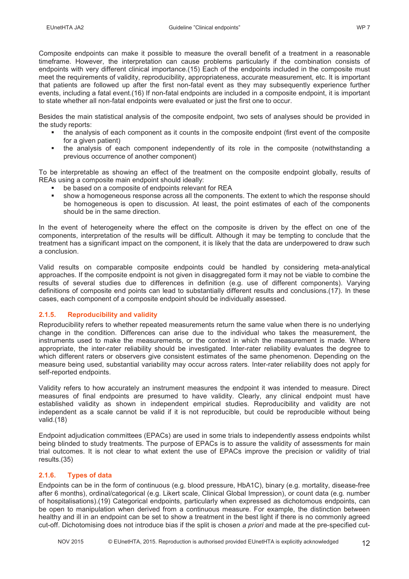Composite endpoints can make it possible to measure the overall benefit of a treatment in a reasonable timeframe. However, the interpretation can cause problems particularly if the combination consists of endpoints with very different clinical importance.(15) Each of the endpoints included in the composite must meet the requirements of validity, reproducibility, appropriateness, accurate measurement, etc. It is important that patients are followed up after the first non-fatal event as they may subsequently experience further events, including a fatal event.(16) If non-fatal endpoints are included in a composite endpoint, it is important to state whether all non-fatal endpoints were evaluated or just the first one to occur.

Besides the main statistical analysis of the composite endpoint, two sets of analyses should be provided in the study reports:

- the analysis of each component as it counts in the composite endpoint (first event of the composite for a given patient)
- the analysis of each component independently of its role in the composite (notwithstanding a previous occurrence of another component)

To be interpretable as showing an effect of the treatment on the composite endpoint globally, results of REAs using a composite main endpoint should ideally:

- be based on a composite of endpoints relevant for REA
- show a homogeneous response across all the components. The extent to which the response should be homogeneous is open to discussion. At least, the point estimates of each of the components should be in the same direction.

In the event of heterogeneity where the effect on the composite is driven by the effect on one of the components, interpretation of the results will be difficult. Although it may be tempting to conclude that the treatment has a significant impact on the component, it is likely that the data are underpowered to draw such a conclusion.

Valid results on comparable composite endpoints could be handled by considering meta-analytical approaches. If the composite endpoint is not given in disaggregated form it may not be viable to combine the results of several studies due to differences in definition (e.g. use of different components). Varying definitions of composite end points can lead to substantially different results and conclusions.(17). In these cases, each component of a composite endpoint should be individually assessed.

## **2.1.5. Reproducibility and validity**

Reproducibility refers to whether repeated measurements return the same value when there is no underlying change in the condition. Differences can arise due to the individual who takes the measurement, the instruments used to make the measurements, or the context in which the measurement is made. Where appropriate, the inter-rater reliability should be investigated. Inter-rater reliability evaluates the degree to which different raters or observers give consistent estimates of the same phenomenon. Depending on the measure being used, substantial variability may occur across raters. Inter-rater reliability does not apply for self-reported endpoints.

Validity refers to how accurately an instrument measures the endpoint it was intended to measure. Direct measures of final endpoints are presumed to have validity. Clearly, any clinical endpoint must have established validity as shown in independent empirical studies. Reproducibility and validity are not independent as a scale cannot be valid if it is not reproducible, but could be reproducible without being valid.(18)

Endpoint adjudication committees (EPACs) are used in some trials to independently assess endpoints whilst being blinded to study treatments. The purpose of EPACs is to assure the validity of assessments for main trial outcomes. It is not clear to what extent the use of EPACs improve the precision or validity of trial results.(35)

## **2.1.6. Types of data**

Endpoints can be in the form of continuous (e.g. blood pressure, HbA1C), binary (e.g. mortality, disease-free after 6 months), ordinal/categorical (e.g. Likert scale, Clinical Global Impression), or count data (e.g. number of hospitalisations).(19) Categorical endpoints, particularly when expressed as dichotomous endpoints, can be open to manipulation when derived from a continuous measure. For example, the distinction between healthy and ill in an endpoint can be set to show a treatment in the best light if there is no commonly agreed cut-off. Dichotomising does not introduce bias if the split is chosen *a priori* and made at the pre-specified cut-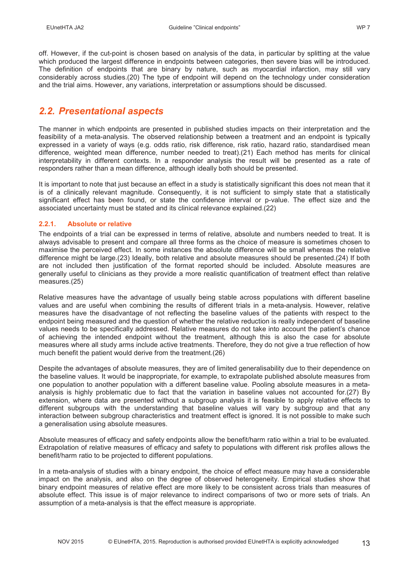off. However, if the cut-point is chosen based on analysis of the data, in particular by splitting at the value which produced the largest difference in endpoints between categories, then severe bias will be introduced. The definition of endpoints that are binary by nature, such as myocardial infarction, may still vary considerably across studies.(20) The type of endpoint will depend on the technology under consideration and the trial aims. However, any variations, interpretation or assumptions should be discussed.

## *2.2. Presentational aspects*

The manner in which endpoints are presented in published studies impacts on their interpretation and the feasibility of a meta-analysis. The observed relationship between a treatment and an endpoint is typically expressed in a variety of ways (e.g. odds ratio, risk difference, risk ratio, hazard ratio, standardised mean difference, weighted mean difference, number needed to treat).(21) Each method has merits for clinical interpretability in different contexts. In a responder analysis the result will be presented as a rate of responders rather than a mean difference, although ideally both should be presented.

It is important to note that just because an effect in a study is statistically significant this does not mean that it is of a clinically relevant magnitude. Consequently, it is not sufficient to simply state that a statistically significant effect has been found, or state the confidence interval or p-value. The effect size and the associated uncertainty must be stated and its clinical relevance explained.(22)

## **2.2.1. Absolute or relative**

The endpoints of a trial can be expressed in terms of relative, absolute and numbers needed to treat. It is always advisable to present and compare all three forms as the choice of measure is sometimes chosen to maximise the perceived effect. In some instances the absolute difference will be small whereas the relative difference might be large.(23) Ideally, both relative and absolute measures should be presented.(24) If both are not included then justification of the format reported should be included. Absolute measures are generally useful to clinicians as they provide a more realistic quantification of treatment effect than relative measures.(25)

Relative measures have the advantage of usually being stable across populations with different baseline values and are useful when combining the results of different trials in a meta-analysis. However, relative measures have the disadvantage of not reflecting the baseline values of the patients with respect to the endpoint being measured and the question of whether the relative reduction is really independent of baseline values needs to be specifically addressed. Relative measures do not take into account the patient's chance of achieving the intended endpoint without the treatment, although this is also the case for absolute measures where all study arms include active treatments. Therefore, they do not give a true reflection of how much benefit the patient would derive from the treatment.(26)

Despite the advantages of absolute measures, they are of limited generalisability due to their dependence on the baseline values. It would be inappropriate, for example, to extrapolate published absolute measures from one population to another population with a different baseline value. Pooling absolute measures in a metaanalysis is highly problematic due to fact that the variation in baseline values not accounted for.(27) By extension, where data are presented without a subgroup analysis it is feasible to apply relative effects to different subgroups with the understanding that baseline values will vary by subgroup and that any interaction between subgroup characteristics and treatment effect is ignored. It is not possible to make such a generalisation using absolute measures.

Absolute measures of efficacy and safety endpoints allow the benefit/harm ratio within a trial to be evaluated. Extrapolation of relative measures of efficacy and safety to populations with different risk profiles allows the benefit/harm ratio to be projected to different populations.

In a meta-analysis of studies with a binary endpoint, the choice of effect measure may have a considerable impact on the analysis, and also on the degree of observed heterogeneity. Empirical studies show that binary endpoint measures of relative effect are more likely to be consistent across trials than measures of absolute effect. This issue is of major relevance to indirect comparisons of two or more sets of trials. An assumption of a meta-analysis is that the effect measure is appropriate.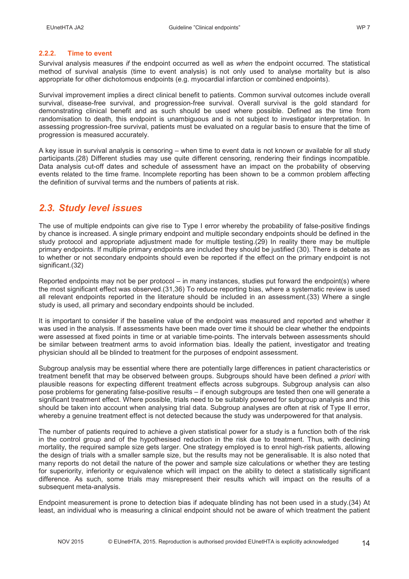#### **2.2.2. Time to event**

Survival analysis measures *if* the endpoint occurred as well as *when* the endpoint occurred. The statistical method of survival analysis (time to event analysis) is not only used to analyse mortality but is also appropriate for other dichotomous endpoints (e.g. myocardial infarction or combined endpoints).

Survival improvement implies a direct clinical benefit to patients. Common survival outcomes include overall survival, disease-free survival, and progression-free survival. Overall survival is the gold standard for demonstrating clinical benefit and as such should be used where possible. Defined as the time from randomisation to death, this endpoint is unambiguous and is not subject to investigator interpretation. In assessing progression-free survival, patients must be evaluated on a regular basis to ensure that the time of progression is measured accurately.

A key issue in survival analysis is censoring – when time to event data is not known or available for all study participants.(28) Different studies may use quite different censoring, rendering their findings incompatible. Data analysis cut-off dates and schedule of assessment have an impact on the probability of observing events related to the time frame. Incomplete reporting has been shown to be a common problem affecting the definition of survival terms and the numbers of patients at risk.

## *2.3. Study level issues*

The use of multiple endpoints can give rise to Type I error whereby the probability of false-positive findings by chance is increased. A single primary endpoint and multiple secondary endpoints should be defined in the study protocol and appropriate adjustment made for multiple testing.(29) In reality there may be multiple primary endpoints. If multiple primary endpoints are included they should be justified (30). There is debate as to whether or not secondary endpoints should even be reported if the effect on the primary endpoint is not significant.(32)

Reported endpoints may not be per protocol – in many instances, studies put forward the endpoint(s) where the most significant effect was observed.(31,36) To reduce reporting bias, where a systematic review is used all relevant endpoints reported in the literature should be included in an assessment.(33) Where a single study is used, all primary and secondary endpoints should be included.

It is important to consider if the baseline value of the endpoint was measured and reported and whether it was used in the analysis. If assessments have been made over time it should be clear whether the endpoints were assessed at fixed points in time or at variable time-points. The intervals between assessments should be similar between treatment arms to avoid information bias. Ideally the patient, investigator and treating physician should all be blinded to treatment for the purposes of endpoint assessment.

Subgroup analysis may be essential where there are potentially large differences in patient characteristics or treatment benefit that may be observed between groups. Subgroups should have been defined *a priori* with plausible reasons for expecting different treatment effects across subgroups. Subgroup analysis can also pose problems for generating false-positive results – if enough subgroups are tested then one will generate a significant treatment effect. Where possible, trials need to be suitably powered for subgroup analysis and this should be taken into account when analysing trial data. Subgroup analyses are often at risk of Type II error, whereby a genuine treatment effect is not detected because the study was underpowered for that analysis.

The number of patients required to achieve a given statistical power for a study is a function both of the risk in the control group and of the hypothesised reduction in the risk due to treatment. Thus, with declining mortality, the required sample size gets larger. One strategy employed is to enrol high-risk patients, allowing the design of trials with a smaller sample size, but the results may not be generalisable. It is also noted that many reports do not detail the nature of the power and sample size calculations or whether they are testing for superiority, inferiority or equivalence which will impact on the ability to detect a statistically significant difference. As such, some trials may misrepresent their results which will impact on the results of a subsequent meta-analysis.

Endpoint measurement is prone to detection bias if adequate blinding has not been used in a study.(34) At least, an individual who is measuring a clinical endpoint should not be aware of which treatment the patient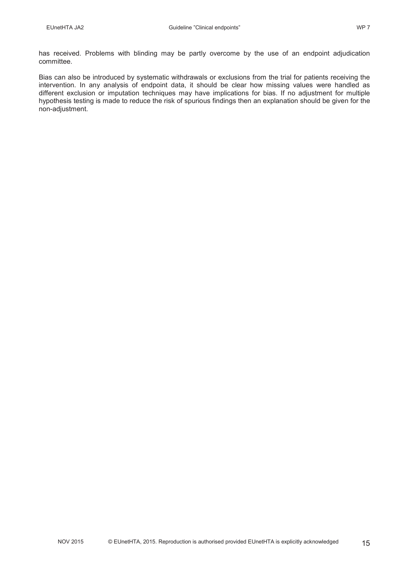has received. Problems with blinding may be partly overcome by the use of an endpoint adjudication committee.

Bias can also be introduced by systematic withdrawals or exclusions from the trial for patients receiving the intervention. In any analysis of endpoint data, it should be clear how missing values were handled as different exclusion or imputation techniques may have implications for bias. If no adjustment for multiple hypothesis testing is made to reduce the risk of spurious findings then an explanation should be given for the non-adjustment.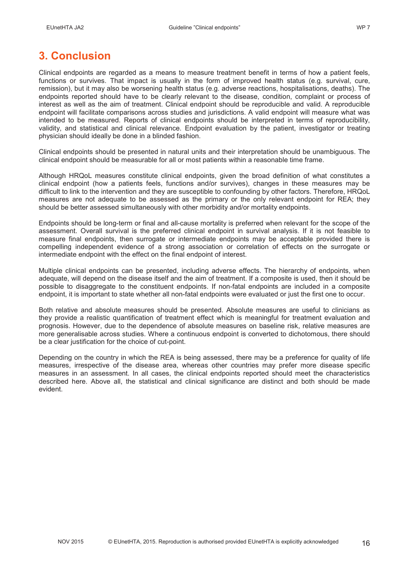# **3. Conclusion**

Clinical endpoints are regarded as a means to measure treatment benefit in terms of how a patient feels, functions or survives. That impact is usually in the form of improved health status (e.g. survival, cure, remission), but it may also be worsening health status (e.g. adverse reactions, hospitalisations, deaths). The endpoints reported should have to be clearly relevant to the disease, condition, complaint or process of interest as well as the aim of treatment. Clinical endpoint should be reproducible and valid. A reproducible endpoint will facilitate comparisons across studies and jurisdictions. A valid endpoint will measure what was intended to be measured. Reports of clinical endpoints should be interpreted in terms of reproducibility, validity, and statistical and clinical relevance. Endpoint evaluation by the patient, investigator or treating physician should ideally be done in a blinded fashion.

Clinical endpoints should be presented in natural units and their interpretation should be unambiguous. The clinical endpoint should be measurable for all or most patients within a reasonable time frame.

Although HRQoL measures constitute clinical endpoints, given the broad definition of what constitutes a clinical endpoint (how a patients feels, functions and/or survives), changes in these measures may be difficult to link to the intervention and they are susceptible to confounding by other factors. Therefore, HRQoL measures are not adequate to be assessed as the primary or the only relevant endpoint for REA; they should be better assessed simultaneously with other morbidity and/or mortality endpoints.

Endpoints should be long-term or final and all-cause mortality is preferred when relevant for the scope of the assessment. Overall survival is the preferred clinical endpoint in survival analysis. If it is not feasible to measure final endpoints, then surrogate or intermediate endpoints may be acceptable provided there is compelling independent evidence of a strong association or correlation of effects on the surrogate or intermediate endpoint with the effect on the final endpoint of interest.

Multiple clinical endpoints can be presented, including adverse effects. The hierarchy of endpoints, when adequate, will depend on the disease itself and the aim of treatment. If a composite is used, then it should be possible to disaggregate to the constituent endpoints. If non-fatal endpoints are included in a composite endpoint, it is important to state whether all non-fatal endpoints were evaluated or just the first one to occur.

Both relative and absolute measures should be presented. Absolute measures are useful to clinicians as they provide a realistic quantification of treatment effect which is meaningful for treatment evaluation and prognosis. However, due to the dependence of absolute measures on baseline risk, relative measures are more generalisable across studies. Where a continuous endpoint is converted to dichotomous, there should be a clear justification for the choice of cut-point.

Depending on the country in which the REA is being assessed, there may be a preference for quality of life measures, irrespective of the disease area, whereas other countries may prefer more disease specific measures in an assessment. In all cases, the clinical endpoints reported should meet the characteristics described here. Above all, the statistical and clinical significance are distinct and both should be made evident.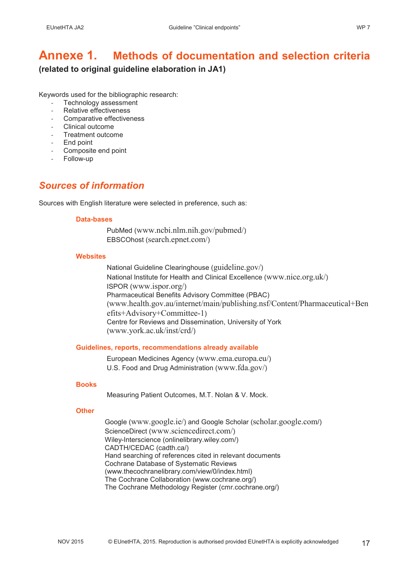## **Annexe 1. Methods of documentation and selection criteria (related to original guideline elaboration in JA1)**

Keywords used for the bibliographic research:

- Technology assessment
- Relative effectiveness
- Comparative effectiveness
- Clinical outcome
- Treatment outcome
- End point
- Composite end point
- Follow-up

## *Sources of information*

Sources with English literature were selected in preference, such as:

#### **Data-bases**

PubMed (www.ncbi.nlm.nih.gov/pubmed/) EBSCOhost (search.epnet.com/)

#### **Websites**

National Guideline Clearinghouse (guideline.gov/) National Institute for Health and Clinical Excellence (www.nice.org.uk/) ISPOR (www.ispor.org/) Pharmaceutical Benefits Advisory Committee (PBAC) (www.health.gov.au/internet/main/publishing.nsf/Content/Pharmaceutical+Ben efits+Advisory+Committee-1) Centre for Reviews and Dissemination, University of York (www.york.ac.uk/inst/crd/)

## **Guidelines, reports, recommendations already available**

European Medicines Agency (www.ema.europa.eu/) U.S. Food and Drug Administration (www.fda.gov/)

#### **Books**

Measuring Patient Outcomes, M.T. Nolan & V. Mock.

#### **Other**

Google (www.google.ie/) and Google Scholar (scholar.google.com/) ScienceDirect (www.sciencedirect.com/) Wiley-Interscience (onlinelibrary.wiley.com/) CADTH/CEDAC (cadth.ca/) Hand searching of references cited in relevant documents Cochrane Database of Systematic Reviews (www.thecochranelibrary.com/view/0/index.html) The Cochrane Collaboration (www.cochrane.org/) The Cochrane Methodology Register (cmr.cochrane.org/)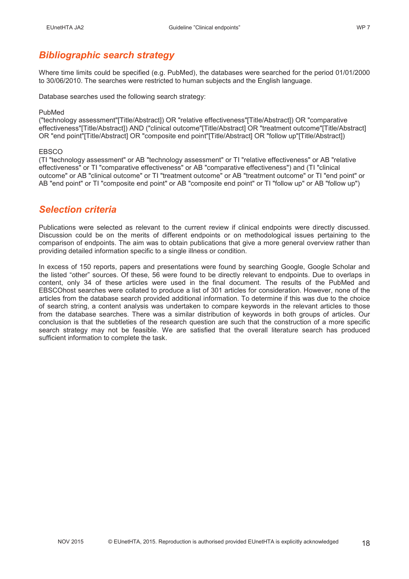## *Bibliographic search strategy*

Where time limits could be specified (e.g. PubMed), the databases were searched for the period 01/01/2000 to 30/06/2010. The searches were restricted to human subjects and the English language.

Database searches used the following search strategy:

#### PubMed

("technology assessment"[Title/Abstract]) OR "relative effectiveness"[Title/Abstract]) OR "comparative effectiveness"[Title/Abstract]) AND ("clinical outcome"[Title/Abstract] OR "treatment outcome"[Title/Abstract] OR "end point"[Title/Abstract] OR "composite end point"[Title/Abstract] OR "follow up"[Title/Abstract])

#### **EBSCO**

(TI "technology assessment" or AB "technology assessment" or TI "relative effectiveness" or AB "relative effectiveness" or TI "comparative effectiveness" or AB "comparative effectiveness") and (TI "clinical outcome" or AB "clinical outcome" or TI "treatment outcome" or AB "treatment outcome" or TI "end point" or AB "end point" or TI "composite end point" or AB "composite end point" or TI "follow up" or AB "follow up")

## *Selection criteria*

Publications were selected as relevant to the current review if clinical endpoints were directly discussed. Discussion could be on the merits of different endpoints or on methodological issues pertaining to the comparison of endpoints. The aim was to obtain publications that give a more general overview rather than providing detailed information specific to a single illness or condition.

In excess of 150 reports, papers and presentations were found by searching Google, Google Scholar and the listed "other" sources. Of these, 56 were found to be directly relevant to endpoints. Due to overlaps in content, only 34 of these articles were used in the final document. The results of the PubMed and EBSCOhost searches were collated to produce a list of 301 articles for consideration. However, none of the articles from the database search provided additional information. To determine if this was due to the choice of search string, a content analysis was undertaken to compare keywords in the relevant articles to those from the database searches. There was a similar distribution of keywords in both groups of articles. Our conclusion is that the subtleties of the research question are such that the construction of a more specific search strategy may not be feasible. We are satisfied that the overall literature search has produced sufficient information to complete the task.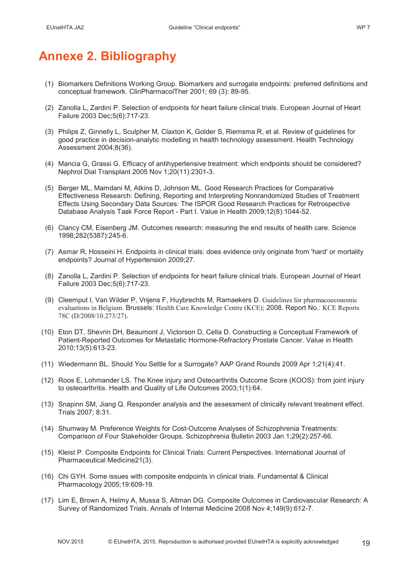# **Annexe 2. Bibliography**

- (1) Biomarkers Definitions Working Group. Biomarkers and surrogate endpoints: preferred definitions and conceptual framework. ClinPharmacolTher 2001; 69 (3): 89-95.
- (2) Zanolla L, Zardini P. Selection of endpoints for heart failure clinical trials. European Journal of Heart Failure 2003 Dec;5(6):717-23.
- (3) Philips Z, Ginnelly L, Sculpher M, Claxton K, Golder S, Riemsma R, et al. Review of guidelines for good practice in decision-analytic modelling in health technology assessment. Health Technology Assessment 2004;8(36).
- (4) Mancia G, Grassi G. Efficacy of antihypertensive treatment: which endpoints should be considered? Nephrol Dial Transplant 2005 Nov 1;20(11):2301-3.
- (5) Berger ML, Mamdani M, Atkins D, Johnson ML. Good Research Practices for Comparative Effectiveness Research: Defining, Reporting and Interpreting Nonrandomized Studies of Treatment Effects Using Secondary Data Sources: The ISPOR Good Research Practices for Retrospective Database Analysis Task Force Report - Part I. Value in Health 2009;12(8):1044-52.
- (6) Clancy CM, Eisenberg JM. Outcomes research: measuring the end results of health care. Science 1998;282(5387):245-6.
- (7) Asmar R, Hosseini H. Endpoints in clinical trials: does evidence only originate from 'hard' or mortality endpoints? Journal of Hypertension 2009;27.
- (8) Zanolla L, Zardini P. Selection of endpoints for heart failure clinical trials. European Journal of Heart Failure 2003 Dec;5(6):717-23.
- (9) Cleemput I, Van Wilder P, Vrijens F, Huybrechts M, Ramaekers D. Guidelines for pharmacoeconomic evaluations in Belgium. Brussels: Health Care Knowledge Centre (KCE); 2008. Report No.: KCE Reports 78C (D/2008/10.273/27).
- (10) Eton DT, Shevrin DH, Beaumont J, Victorson D, Cella D. Constructing a Conceptual Framework of Patient-Reported Outcomes for Metastatic Hormone-Refractory Prostate Cancer. Value in Health 2010;13(5):613-23.
- (11) Wiedermann BL. Should You Settle for a Surrogate? AAP Grand Rounds 2009 Apr 1;21(4):41.
- (12) Roos E, Lohmander LS. The Knee injury and Osteoarthritis Outcome Score (KOOS): from joint injury to osteoarthritis. Health and Quality of Life Outcomes 2003;1(1):64.
- (13) Snapinn SM, Jiang Q. Responder analysis and the assessment of clinically relevant treatment effect. Trials 2007; 8:31.
- (14) Shumway M. Preference Weights for Cost-Outcome Analyses of Schizophrenia Treatments: Comparison of Four Stakeholder Groups. Schizophrenia Bulletin 2003 Jan 1;29(2):257-66.
- (15) Kleist P. Composite Endpoints for Clinical Trials: Current Perspectives. International Journal of Pharmaceutical Medicine21(3).
- (16) Chi GYH. Some issues with composite endpoints in clinical trials. Fundamental & Clinical Pharmacology 2005;19:609-19.
- (17) Lim E, Brown A, Helmy A, Mussa S, Altman DG. Composite Outcomes in Cardiovascular Research: A Survey of Randomized Trials. Annals of Internal Medicine 2008 Nov 4;149(9):612-7.